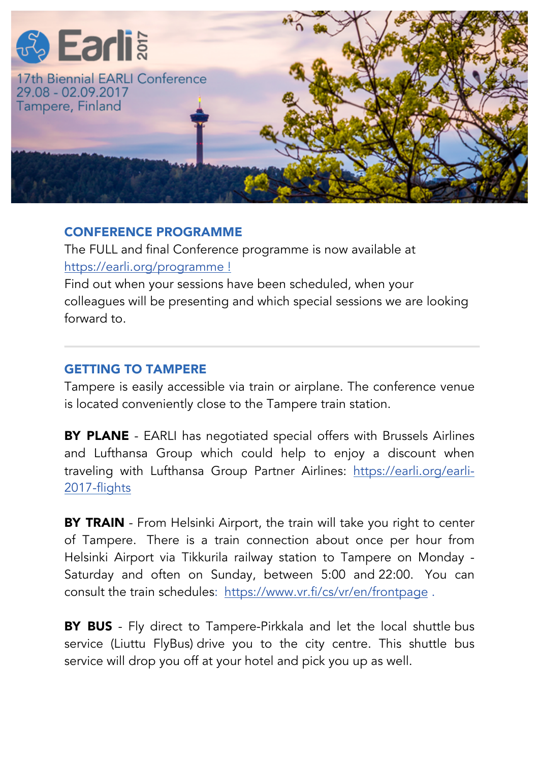

## CONFERENCE PROGRAMME

The FULL and final Conference programme is now available at https://earli.org/programme !

Find out when your sessions have been scheduled, when your colleagues will be presenting and which special sessions we are looking forward to.

## GETTING TO TAMPERE

Tampere is easily accessible via train or airplane. The conference venue is located conveniently close to the Tampere train station.

BY PLANE - EARLI has negotiated special offers with Brussels Airlines and Lufthansa Group which could help to enjoy a discount when traveling with Lufthansa Group Partner Airlines: https://earli.org/earli-2017-flights

**BY TRAIN** - From Helsinki Airport, the train will take you right to center of Tampere. There is a train connection about once per hour from Helsinki Airport via Tikkurila railway station to Tampere on Monday - Saturday and often on Sunday, between 5:00 and 22:00. You can consult the train schedules: https://www.vr.fi/cs/vr/en/frontpage .

**BY BUS** - Fly direct to Tampere-Pirkkala and let the local shuttle bus service (Liuttu FlyBus) drive you to the city centre. This shuttle bus service will drop you off at your hotel and pick you up as well.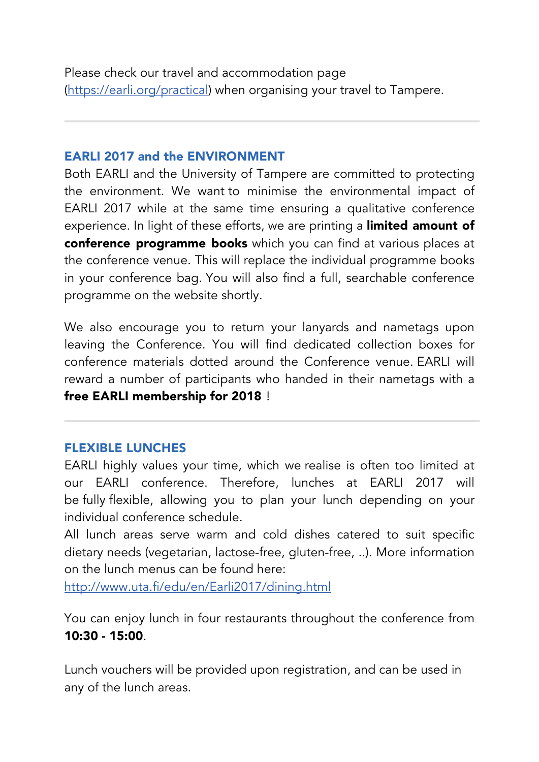Please check our travel and accommodation page (https://earli.org/practical) when organising your travel to Tampere.

## EARLI 2017 and the ENVIRONMENT

Both EARLI and the University of Tampere are committed to protecting the environment. We want to minimise the environmental impact of EARLI 2017 while at the same time ensuring a qualitative conference experience. In light of these efforts, we are printing a *limited amount of* conference programme books which you can find at various places at the conference venue. This will replace the individual programme books in your conference bag. You will also find a full, searchable conference programme on the website shortly.

We also encourage you to return your lanyards and nametags upon leaving the Conference. You will find dedicated collection boxes for conference materials dotted around the Conference venue. EARLI will reward a number of participants who handed in their nametags with a free EARLI membership for 2018 !

## FLEXIBLE LUNCHES

EARLI highly values your time, which we realise is often too limited at our EARLI conference. Therefore, lunches at EARLI 2017 will be fully flexible, allowing you to plan your lunch depending on your individual conference schedule.

All lunch areas serve warm and cold dishes catered to suit specific dietary needs (vegetarian, lactose-free, gluten-free, ..). More information on the lunch menus can be found here:

http://www.uta.fi/edu/en/Earli2017/dining.html

You can enjoy lunch in four restaurants throughout the conference from  $10:30 - 15:00$ 

Lunch vouchers will be provided upon registration, and can be used in any of the lunch areas.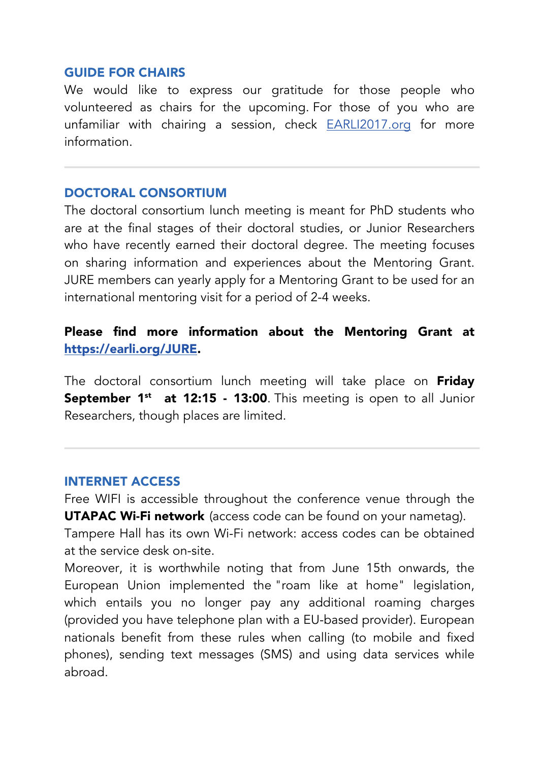#### GUIDE FOR CHAIRS

We would like to express our gratitude for those people who volunteered as chairs for the upcoming. For those of you who are unfamiliar with chairing a session, check EARLI2017.org for more information.

#### DOCTORAL CONSORTIUM

The doctoral consortium lunch meeting is meant for PhD students who are at the final stages of their doctoral studies, or Junior Researchers who have recently earned their doctoral degree. The meeting focuses on sharing information and experiences about the Mentoring Grant. JURE members can yearly apply for a Mentoring Grant to be used for an international mentoring visit for a period of 2-4 weeks.

# Please find more information about the Mentoring Grant at https://earli.org/JURE.

The doctoral consortium lunch meeting will take place on Friday September 1<sup>st</sup> at 12:15 - 13:00. This meeting is open to all Junior Researchers, though places are limited.

#### INTERNET ACCESS

Free WIFI is accessible throughout the conference venue through the **UTAPAC Wi-Fi network** (access code can be found on your nametag).

Tampere Hall has its own Wi-Fi network: access codes can be obtained at the service desk on-site.

Moreover, it is worthwhile noting that from June 15th onwards, the European Union implemented the "roam like at home" legislation, which entails you no longer pay any additional roaming charges (provided you have telephone plan with a EU-based provider). European nationals benefit from these rules when calling (to mobile and fixed phones), sending text messages (SMS) and using data services while abroad.